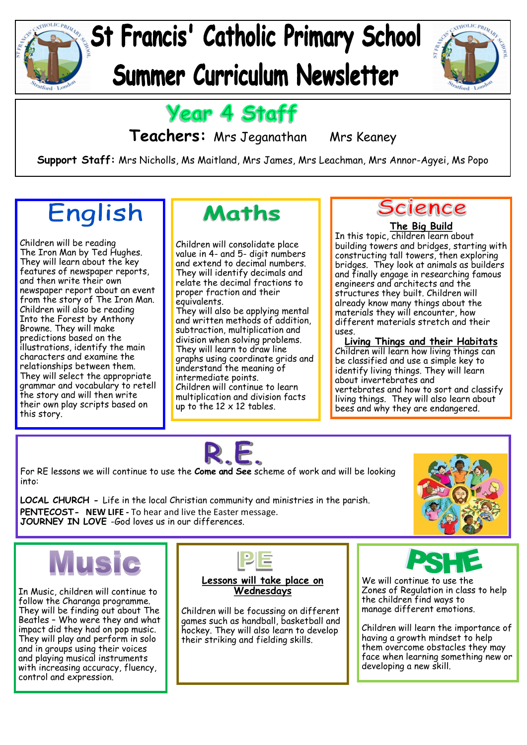



### **Year 4 Staff**

**Teachers:** Mrs Jeganathan Mrs Keaney

**Support Staff:** Mrs Nicholls, Ms Maitland, Mrs James, Mrs Leachman, Mrs Annor-Agyei, Ms Popo

## English

Children will be reading The Iron Man by Ted Hughes. They will learn about the key features of newspaper reports, and then write their own newspaper report about an event from the story of The Iron Man. Children will also be reading Into the Forest by Anthony Browne. They will make predictions based on the illustrations, identify the main characters and examine the relationships between them. They will select the appropriate grammar and vocabulary to retell the story and will then write their own play scripts based on this story.

### **Maths**

Children will consolidate place value in 4- and 5- digit numbers and extend to decimal numbers. They will identify decimals and relate the decimal fractions to proper fraction and their equivalents. They will also be applying mental and written methods of addition, subtraction, multiplication and division when solving problems. They will learn to draw line graphs using coordinate grids and understand the meaning of intermediate points. Children will continue to learn multiplication and division facts up to the  $12 \times 12$  tables.

### **Science**

#### **The Big Build**

In this topic, children learn about building towers and bridges, starting with constructing tall towers, then exploring bridges. They look at animals as builders and finally engage in researching famous engineers and architects and the structures they built. Children will already know many things about the materials they will encounter, how different materials stretch and their uses.

**Living Things and their Habitats** Children will learn how living things can be classified and use a simple key to identify living things. They will learn about invertebrates and vertebrates and how to sort and classify living things. They will also learn about bees and why they are endangered.



For RE lessons we will continue to use the **Come and See** scheme of work and will be looking into:

**LOCAL CHURCH -** Life in the local Christian community and ministries in the parish. **PENTECOST- NEW LIFE -** To hear and live the Easter message. **JOURNEY IN LOVE** -God loves us in our differences.



In Music, children will continue to follow the Charanga programme. They will be finding out about The Beatles – Who were they and what impact did they had on pop music. They will play and perform in solo and in groups using their voices and playing musical instruments with increasing accuracy, fluency, control and expression.



**Lessons will take place on Wednesdays**

Children will be focussing on different games such as handball, basketball and hockey. They will also learn to develop their striking and fielding skills.



We will continue to use the Zones of Regulation in class to help the children find ways to manage different emotions.

Children will learn the importance of having a growth mindset to help them overcome obstacles they may face when learning something new or developing a new skill.